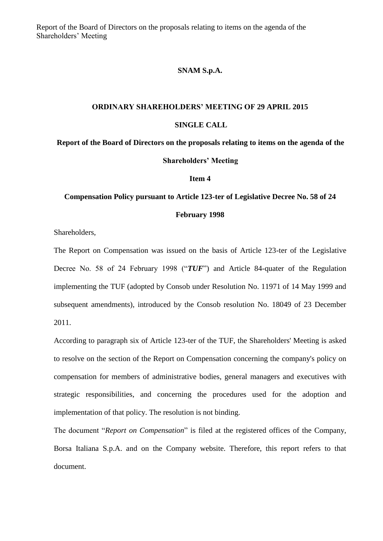Report of the Board of Directors on the proposals relating to items on the agenda of the Shareholders' Meeting

## **SNAM S.p.A.**

## **ORDINARY SHAREHOLDERS' MEETING OF 29 APRIL 2015 SINGLE CALL**

**Report of the Board of Directors on the proposals relating to items on the agenda of the Shareholders' Meeting**

**Item 4**

## **Compensation Policy pursuant to Article 123-ter of Legislative Decree No. 58 of 24 February 1998**

Shareholders,

The Report on Compensation was issued on the basis of Article 123-ter of the Legislative Decree No. 58 of 24 February 1998 ("*TUF*") and Article 84-quater of the Regulation implementing the TUF (adopted by Consob under Resolution No. 11971 of 14 May 1999 and subsequent amendments), introduced by the Consob resolution No. 18049 of 23 December 2011.

According to paragraph six of Article 123-ter of the TUF, the Shareholders' Meeting is asked to resolve on the section of the Report on Compensation concerning the company's policy on compensation for members of administrative bodies, general managers and executives with strategic responsibilities, and concerning the procedures used for the adoption and implementation of that policy. The resolution is not binding.

The document "*Report on Compensation*" is filed at the registered offices of the Company, Borsa Italiana S.p.A. and on the Company website. Therefore, this report refers to that document.